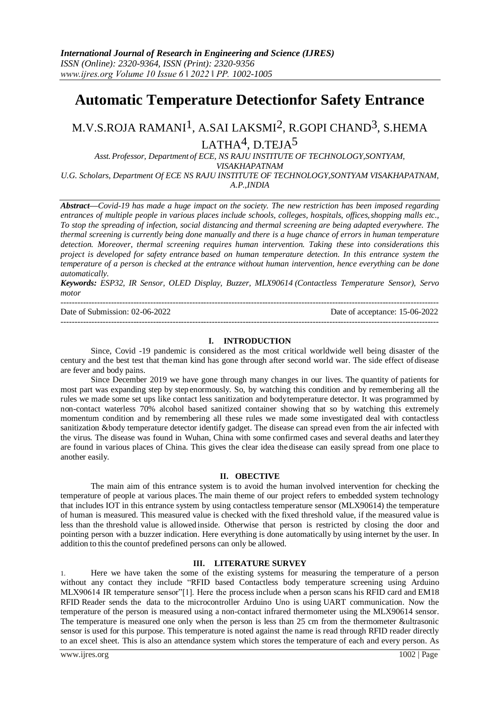# **Automatic Temperature Detectionfor Safety Entrance**

# M.V.S.ROJA RAMANI1, A.SAI LAKSMI2, R.GOPI CHAND3, S.HEMA LATHA<sup>4</sup>, D.TEJA<sup>5</sup>

*Asst. Professor, Department of ECE, NS RAJU INSTITUTE OF TECHNOLOGY,SONTYAM, VISAKHAPATNAM U.G. Scholars, Department Of ECE NS RAJU INSTITUTE OF TECHNOLOGY,SONTYAM VISAKHAPATNAM,* 

*A.P.,INDIA*

*Abstract***—***Covid-19 has made a huge impact on the society. The new restriction has been imposed regarding entrances of multiple people in various places include schools, colleges, hospitals, offices,shopping malls etc., To stop the spreading of infection, social distancing and thermal screening are being adapted everywhere. The thermal screening is currently being done manually and there is a huge chance of errors in human temperature detection. Moreover, thermal screening requires human intervention. Taking these into considerations this project is developed for safety entrance based on human temperature detection. In this entrance system the temperature of a person is checked at the entrance without human intervention, hence everything can be done automatically.*

*Keywords: ESP32, IR Sensor, OLED Display, Buzzer, MLX90614 (Contactless Temperature Sensor), Servo motor*

| Date of Submission: $02-06-2022$ | Date of acceptance: 15-06-2022 |
|----------------------------------|--------------------------------|
|                                  |                                |

#### **I. INTRODUCTION**

Since, Covid -19 pandemic is considered as the most critical worldwide well being disaster of the century and the best test that theman kind has gone through after second world war. The side effect of disease are fever and body pains.

Since December 2019 we have gone through many changes in our lives. The quantity of patients for most part was expanding step by step enormously. So, by watching this condition and by remembering all the rules we made some set ups like contact less sanitization and bodytemperature detector. It was programmed by non-contact waterless 70% alcohol based sanitized container showing that so by watching this extremely momentum condition and by remembering all these rules we made some investigated deal with contactless sanitization &body temperature detector identify gadget. The disease can spread even from the air infected with the virus. The disease was found in Wuhan, China with some confirmed cases and several deaths and laterthey are found in various places of China. This gives the clear idea the disease can easily spread from one place to another easily.

#### **II. OBECTIVE**

The main aim of this entrance system is to avoid the human involved intervention for checking the temperature of people at various places. The main theme of our project refers to embedded system technology that includes IOT in this entrance system by using contactless temperature sensor (MLX90614) the temperature of human is measured. This measured value is checked with the fixed threshold value, if the measured value is less than the threshold value is allowed inside. Otherwise that person is restricted by closing the door and pointing person with a buzzer indication. Here everything is done automatically by using internet by the user. In addition to this the countof predefined persons can only be allowed.

### **III. LITERATURE SURVEY**

1. Here we have taken the some of the existing systems for measuring the temperature of a person without any contact they include "RFID based Contactless body temperature screening using Arduino MLX90614 IR temperature sensor"[1]. Here the process include when a person scans his RFID card and EM18 RFID Reader sends the data to the microcontroller Arduino Uno is using UART communication. Now the temperature of the person is measured using a non-contact infrared thermometer using the MLX90614 sensor. The temperature is measured one only when the person is less than 25 cm from the thermometer &ultrasonic sensor is used for this purpose. This temperature is noted against the name is read through RFID reader directly to an excel sheet. This is also an attendance system which stores the temperature of each and every person. As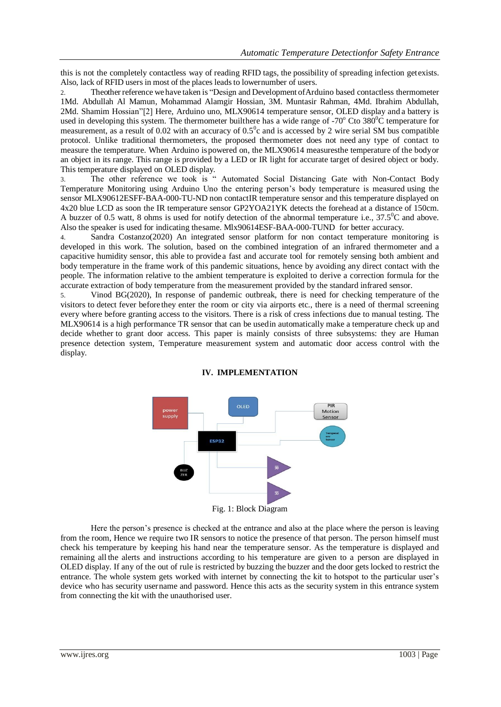this is not the completely contactless way of reading RFID tags, the possibility of spreading infection getexists. Also, lack of RFID users in most of the places leads to lowernumber of users.

2. Theother reference we have taken is "Design and Development ofArduino based contactless thermometer 1Md. Abdullah Al Mamun, Mohammad Alamgir Hossian, 3M. Muntasir Rahman, 4Md. Ibrahim Abdullah, 2Md. Shamim Hossian"[2] Here, Arduino uno, MLX90614 temperature sensor, OLED display and a battery is used in developing this system. The thermometer builthere has a wide range of  $-70^{\circ}$  Cto 380<sup>o</sup>C temperature for measurement, as a result of 0.02 with an accuracy of  $0.5^{\circ}$ c and is accessed by 2 wire serial SM bus compatible protocol. Unlike traditional thermometers, the proposed thermometer does not need any type of contact to measure the temperature. When Arduino ispowered on, the MLX90614 measuresthe temperature of the bodyor an object in its range. This range is provided by a LED or IR light for accurate target of desired object or body. This temperature displayed on OLED display.

3. The other reference we took is " Automated Social Distancing Gate with Non-Contact Body Temperature Monitoring using Arduino Uno the entering person's body temperature is measured using the sensor MLX90612ESFF-BAA-000-TU-ND non contactIR temperature sensor and this temperature displayed on 4x20 blue LCD as soon the IR temperature sensor GP2YOA21YK detects the forehead at a distance of 150cm. A buzzer of 0.5 watt, 8 ohms is used for notify detection of the abnormal temperature i.e.,  $37.5^{\circ}$ C and above. Also the speaker is used for indicating thesame. Mlx90614ESF-BAA-000-TUND for better accuracy.

4. Sandra Costanzo(2020) An integrated sensor platform for non contact temperature monitoring is developed in this work. The solution, based on the combined integration of an infrared thermometer and a capacitive humidity sensor, this able to providea fast and accurate tool for remotely sensing both ambient and body temperature in the frame work of this pandemic situations, hence by avoiding any direct contact with the people. The information relative to the ambient temperature is exploited to derive a correction formula for the accurate extraction of body temperature from the measurement provided by the standard infrared sensor.

5. Vinod BG(2020), In response of pandemic outbreak, there is need for checking temperature of the visitors to detect fever beforethey enter the room or city via airports etc., there is a need of thermal screening every where before granting access to the visitors. There is a risk of cress infections due to manual testing. The MLX90614 is a high performance TR sensor that can be usedin automatically make a temperature check up and decide whether to grant door access. This paper is mainly consists of three subsystems: they are Human presence detection system, Temperature measurement system and automatic door access control with the display.



## **IV. IMPLEMENTATION**

Here the person's presence is checked at the entrance and also at the place where the person is leaving from the room, Hence we require two IR sensors to notice the presence of that person. The person himself must check his temperature by keeping his hand near the temperature sensor. As the temperature is displayed and remaining all the alerts and instructions according to his temperature are given to a person are displayed in OLED display. If any of the out of rule is restricted by buzzing the buzzer and the door gets locked to restrict the entrance. The whole system gets worked with internet by connecting the kit to hotspot to the particular user's device who has security username and password. Hence this acts as the security system in this entrance system from connecting the kit with the unauthorised user.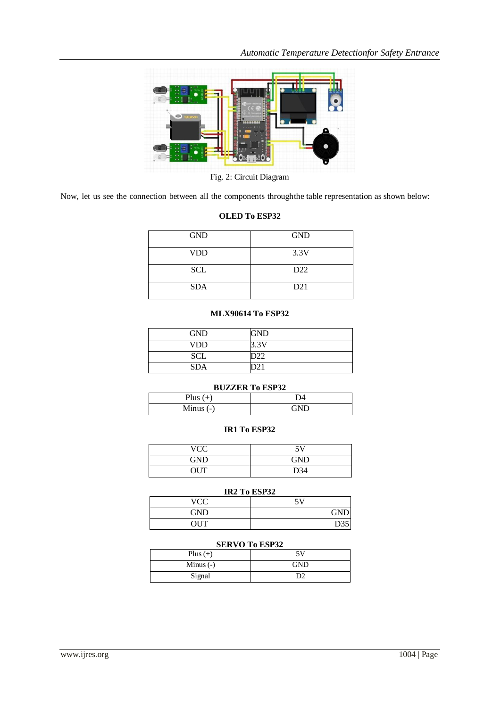

Fig. 2: Circuit Diagram

Now, let us see the connection between all the components throughthe table representation as shown below:

## **OLED To ESP32**

| <b>GND</b> | <b>GND</b> |
|------------|------------|
| <b>VDD</b> | 3.3V       |
| <b>SCL</b> | D22        |
| <b>SDA</b> | D21        |

## **MLX90614 To ESP32**

| <b>GND</b> | GND  |
|------------|------|
| <b>VDD</b> | 3.3V |
| <b>SCL</b> |      |
| <b>SDA</b> |      |

### **BUZZER To ESP32**

| Plus        | ,,,  |
|-------------|------|
| Minus $(-)$ | AN I |

## **IR1 To ESP32**

| VCC        | 5V  |
|------------|-----|
| <b>GND</b> | GND |
| <b>OUT</b> | D34 |

## **IR2 To ESP32**

| VCC  | 511<br>ັ   |
|------|------------|
| GND  | <b>GND</b> |
| OUT. | D35        |

## **SERVO To ESP32**

| Plus $(+)$  | 5V         |
|-------------|------------|
| Minus $(-)$ | <b>GND</b> |
| Signal      | DC         |